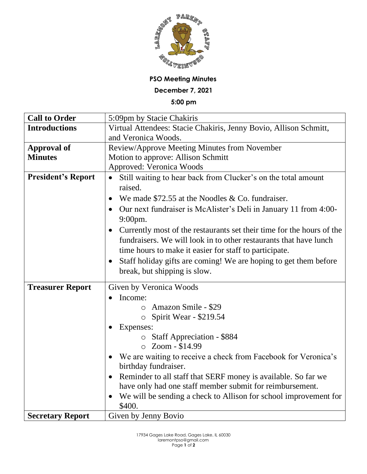

**PSO Meeting Minutes**

**December 7, 2021**

**5:00 pm**

| <b>Call to Order</b>      | 5:09pm by Stacie Chakiris                                                     |
|---------------------------|-------------------------------------------------------------------------------|
| <b>Introductions</b>      | Virtual Attendees: Stacie Chakiris, Jenny Bovio, Allison Schmitt,             |
|                           | and Veronica Woods.                                                           |
| <b>Approval of</b>        | Review/Approve Meeting Minutes from November                                  |
| <b>Minutes</b>            | Motion to approve: Allison Schmitt                                            |
|                           | Approved: Veronica Woods                                                      |
| <b>President's Report</b> | Still waiting to hear back from Clucker's on the total amount                 |
|                           | raised.                                                                       |
|                           | We made $$72.55$ at the Noodles & Co. fundraiser.                             |
|                           | Our next fundraiser is McAlister's Deli in January 11 from 4:00-              |
|                           | 9:00pm.                                                                       |
|                           | Currently most of the restaurants set their time for the hours of the         |
|                           | fundraisers. We will look in to other restaurants that have lunch             |
|                           | time hours to make it easier for staff to participate.                        |
|                           | Staff holiday gifts are coming! We are hoping to get them before<br>$\bullet$ |
|                           | break, but shipping is slow.                                                  |
|                           |                                                                               |
| <b>Treasurer Report</b>   | Given by Veronica Woods                                                       |
|                           | Income:<br>$\bullet$                                                          |
|                           | Amazon Smile - \$29<br>$\circ$                                                |
|                           | Spirit Wear - \$219.54<br>$\circ$                                             |
|                           | Expenses:                                                                     |
|                           | $\circ$ Staff Appreciation - \$884                                            |
|                           | $\circ$ Zoom - \$14.99                                                        |
|                           | We are waiting to receive a check from Facebook for Veronica's                |
|                           | birthday fundraiser.                                                          |
|                           | Reminder to all staff that SERF money is available. So far we<br>$\bullet$    |
|                           | have only had one staff member submit for reimbursement.                      |
|                           | We will be sending a check to Allison for school improvement for              |
|                           | \$400.                                                                        |
| <b>Secretary Report</b>   | Given by Jenny Bovio                                                          |